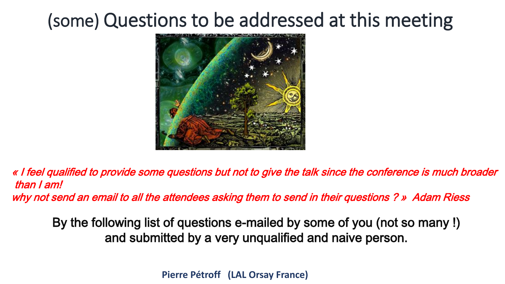# (some) Questions to be addressed at this meeting



« I feel qualified to provide some questions but not to give the talk since the conference is much broader than I am! why not send an email to all the attendees asking them to send in their questions ? » Adam Riess

By the following list of questions e-mailed by some of you (not so many !) and submitted by a very unqualified and naive person.

**Pierre Pétroff (LAL Orsay France)**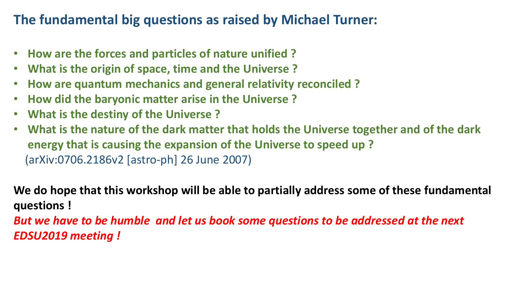## **The fundamental big questions as raised by Michael Turner:**

- **How are the forces and particles of nature unified ?**
- **What is the origin of space, time and the Universe ?**
- **How are quantum mechanics and general relativity reconciled ?**
- **How did the baryonic matter arise in the Universe ?**
- **What is the destiny of the Universe ?**
- **What is the nature of the dark matter that holds the Universe together and of the dark energy that is causing the expansion of the Universe to speed up ?** (arXiv:0706.2186v2 [astro-ph] 26 June 2007)

**We do hope that this workshop will be able to partially address some of these fundamental questions !**

*But we have to be humble and let us book some questions to be addressed at the next EDSU2019 meeting !*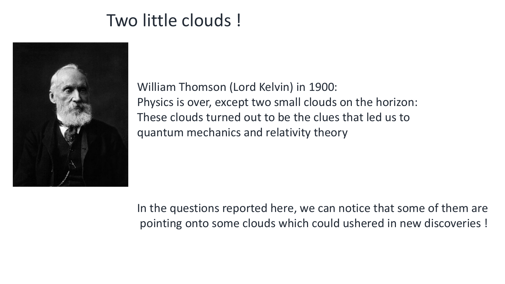# Two little clouds !



William Thomson (Lord Kelvin) in 1900: Physics is over, except two small clouds on the horizon: These clouds turned out to be the clues that led us to quantum mechanics and relativity theory

In the questions reported here, we can notice that some of them are pointing onto some clouds which could ushered in new discoveries !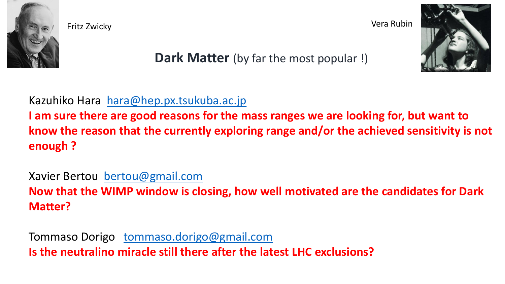

Fritz Zwicky Vera Rubin



**Dark Matter** (by far the most popular!)

Kazuhiko Hara [hara@hep.px.tsukuba.ac.jp](mailto:hara@hep.px.tsukuba.ac.jp)

**I am sure there are good reasons for the mass ranges we are looking for, but want to know the reason that the currently exploring range and/or the achieved sensitivity is not enough ?**

Xavier Bertou [bertou@gmail.com](mailto:bertou@gmail.com) **Now that the WIMP window is closing, how well motivated are the candidates for Dark Matter?**

Tommaso Dorigo [tommaso.dorigo@gmail.com](mailto:tommaso.dorigo@gmail.com) **Is the neutralino miracle still there after the latest LHC exclusions?**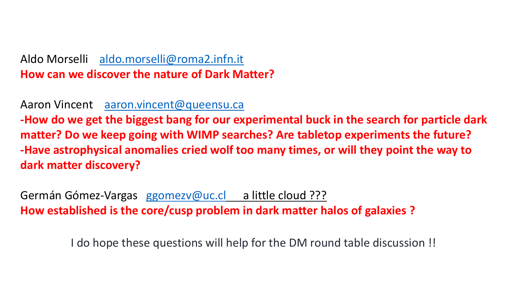### Aldo Morselli [aldo.morselli@roma2.infn.it](mailto:aldo.morselli@roma2.infn.it) **How can we discover the nature of Dark Matter?**

Aaron Vincent [aaron.vincent@queensu.ca](mailto:aaron.vincent@queensu.ca)

**-How do we get the biggest bang for our experimental buck in the search for particle dark matter? Do we keep going with WIMP searches? Are tabletop experiments the future? -Have astrophysical anomalies cried wolf too many times, or will they point the way to dark matter discovery?**

Germán Gómez-Vargas [ggomezv@uc.cl](mailto:ggomezv@uc.cl) a little cloud ??? **How established is the core/cusp problem in dark matter halos of galaxies ?**

I do hope these questions will help for the DM round table discussion !!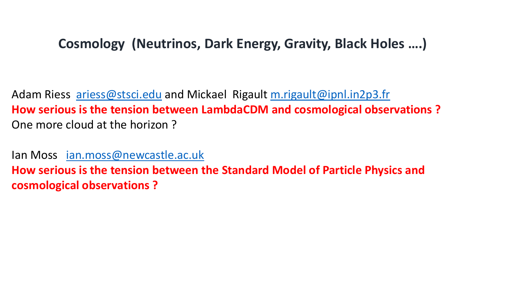## **Cosmology (Neutrinos, Dark Energy, Gravity, Black Holes ….)**

Adam Riess [ariess@stsci.edu](mailto:ariess@stsci.edu) and Mickael Rigault [m.rigault@ipnl.in2p3.fr](mailto:m.rigault@ipnl.in2p3.fr) **How serious is the tension between LambdaCDM and cosmological observations ?** One more cloud at the horizon ?

Ian Moss [ian.moss@newcastle.ac.uk](mailto:ian.moss@newcastle.ac.uk) **How serious is the tension between the Standard Model of Particle Physics and cosmological observations ?**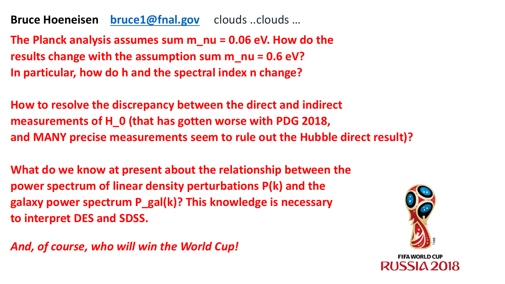**Bruce Hoeneisen [bruce1@fnal.gov](mailto:bruce1@fnal.gov)** clouds ..clouds …

**The Planck analysis assumes sum m\_nu = 0.06 eV. How do the results change with the assumption sum m\_nu = 0.6 eV? In particular, how do h and the spectral index n change?**

**How to resolve the discrepancy between the direct and indirect measurements of H\_0 (that has gotten worse with PDG 2018, and MANY precise measurements seem to rule out the Hubble direct result)?**

**What do we know at present about the relationship between the power spectrum of linear density perturbations P(k) and the galaxy power spectrum P\_gal(k)? This knowledge is necessary to interpret DES and SDSS.**



*And, of course, who will win the World Cup!*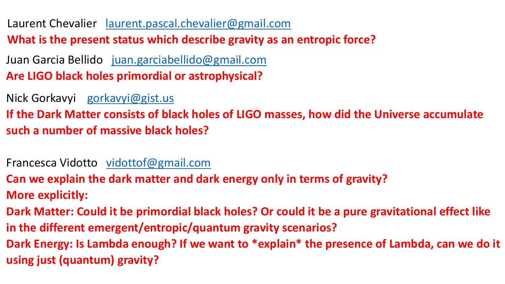Laurent Chevalier [laurent.pascal.chevalier@gmail.com](mailto:laurent.pascal.chevalier@gmail.com) **What is the present status which describe gravity as an entropic force?**

Juan Garcia Bellido [juan.garciabellido@gmail.com](mailto:juan.garciabellido@gmail.com) **Are LIGO black holes primordial or astrophysical?**

Nick Gorkavyi [gorkavyi@gist.us](mailto:gorkavyi@gist.us)

**If the Dark Matter consists of black holes of LIGO masses, how did the Universe accumulate such a number of massive black holes?**

Francesca Vidotto [vidottof@gmail.com](mailto:vidottof@gmail.com)

**Can we explain the dark matter and dark energy only in terms of gravity? More explicitly:**

**Dark Matter: Could it be primordial black holes? Or could it be a pure gravitational effect like in the different emergent/entropic/quantum gravity scenarios? Dark Energy: Is Lambda enough? If we want to \*explain\* the presence of Lambda, can we do it using just (quantum) gravity?**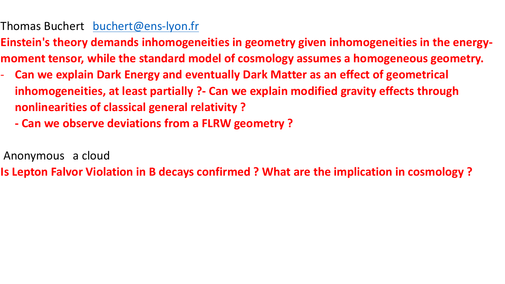### Thomas Buchert [buchert@ens-lyon.fr](mailto:buchert@ens-lyon.fr)

**Einstein's theory demands inhomogeneities in geometry given inhomogeneities in the energymoment tensor, while the standard model of cosmology assumes a homogeneous geometry.** 

- **Can we explain Dark Energy and eventually Dark Matter as an effect of geometrical inhomogeneities, at least partially ?- Can we explain modified gravity effects through nonlinearities of classical general relativity ?**
	- **- Can we observe deviations from a FLRW geometry ?**
- Anonymous a cloud

**Is Lepton Falvor Violation in B decays confirmed ? What are the implication in cosmology ?**